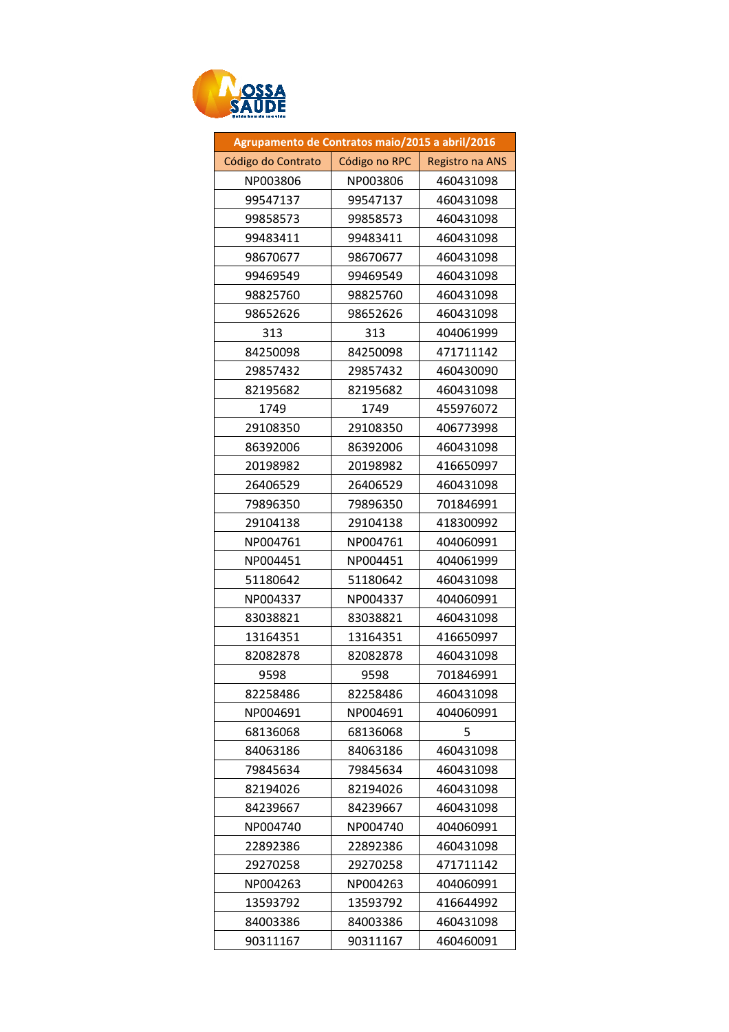

| Agrupamento de Contratos maio/2015 a abril/2016 |               |                 |
|-------------------------------------------------|---------------|-----------------|
| Código do Contrato                              | Código no RPC | Registro na ANS |
| NP003806                                        | NP003806      | 460431098       |
| 99547137                                        | 99547137      | 460431098       |
| 99858573                                        | 99858573      | 460431098       |
| 99483411                                        | 99483411      | 460431098       |
| 98670677                                        | 98670677      | 460431098       |
| 99469549                                        | 99469549      | 460431098       |
| 98825760                                        | 98825760      | 460431098       |
| 98652626                                        | 98652626      | 460431098       |
| 313                                             | 313           | 404061999       |
| 84250098                                        | 84250098      | 471711142       |
| 29857432                                        | 29857432      | 460430090       |
| 82195682                                        | 82195682      | 460431098       |
| 1749                                            | 1749          | 455976072       |
| 29108350                                        | 29108350      | 406773998       |
| 86392006                                        | 86392006      | 460431098       |
| 20198982                                        | 20198982      | 416650997       |
| 26406529                                        | 26406529      | 460431098       |
| 79896350                                        | 79896350      | 701846991       |
| 29104138                                        | 29104138      | 418300992       |
| NP004761                                        | NP004761      | 404060991       |
| NP004451                                        | NP004451      | 404061999       |
| 51180642                                        | 51180642      | 460431098       |
| NP004337                                        | NP004337      | 404060991       |
| 83038821                                        | 83038821      | 460431098       |
| 13164351                                        | 13164351      | 416650997       |
| 82082878                                        | 82082878      | 460431098       |
| 9598                                            | 9598          | 701846991       |
| 82258486                                        | 82258486      | 460431098       |
| NP004691                                        | NP004691      | 404060991       |
| 68136068                                        | 68136068      | 5               |
| 84063186                                        | 84063186      | 460431098       |
| 79845634                                        | 79845634      | 460431098       |
| 82194026                                        | 82194026      | 460431098       |
| 84239667                                        | 84239667      | 460431098       |
| NP004740                                        | NP004740      | 404060991       |
| 22892386                                        | 22892386      | 460431098       |
| 29270258                                        | 29270258      | 471711142       |
| NP004263                                        | NP004263      | 404060991       |
| 13593792                                        | 13593792      | 416644992       |
| 84003386                                        | 84003386      | 460431098       |
| 90311167                                        | 90311167      | 460460091       |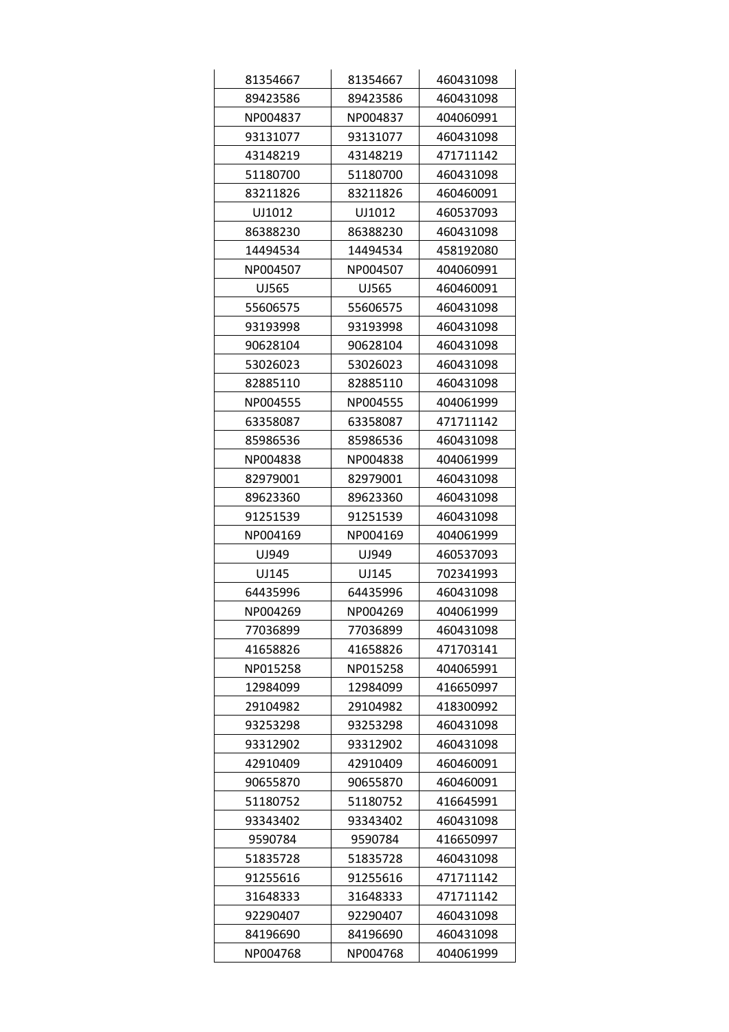| 81354667 | 81354667 | 460431098 |
|----------|----------|-----------|
| 89423586 | 89423586 | 460431098 |
| NP004837 | NP004837 | 404060991 |
| 93131077 | 93131077 | 460431098 |
| 43148219 | 43148219 | 471711142 |
| 51180700 | 51180700 | 460431098 |
| 83211826 | 83211826 | 460460091 |
| UJ1012   | UJ1012   | 460537093 |
| 86388230 | 86388230 | 460431098 |
| 14494534 | 14494534 | 458192080 |
| NP004507 | NP004507 | 404060991 |
| UJ565    | UJ565    | 460460091 |
| 55606575 | 55606575 | 460431098 |
| 93193998 | 93193998 | 460431098 |
| 90628104 | 90628104 | 460431098 |
| 53026023 | 53026023 | 460431098 |
| 82885110 | 82885110 | 460431098 |
| NP004555 | NP004555 | 404061999 |
| 63358087 | 63358087 | 471711142 |
| 85986536 | 85986536 | 460431098 |
| NP004838 | NP004838 | 404061999 |
| 82979001 | 82979001 | 460431098 |
| 89623360 | 89623360 | 460431098 |
| 91251539 | 91251539 | 460431098 |
| NP004169 | NP004169 | 404061999 |
| UJ949    | UJ949    | 460537093 |
| UJ145    | UJ145    | 702341993 |
| 64435996 | 64435996 | 460431098 |
| NP004269 | NP004269 | 404061999 |
| 77036899 | 77036899 | 460431098 |
| 41658826 | 41658826 | 471703141 |
| NP015258 | NP015258 | 404065991 |
| 12984099 | 12984099 | 416650997 |
| 29104982 | 29104982 | 418300992 |
| 93253298 | 93253298 | 460431098 |
| 93312902 | 93312902 | 460431098 |
| 42910409 | 42910409 | 460460091 |
| 90655870 | 90655870 | 460460091 |
| 51180752 | 51180752 | 416645991 |
| 93343402 | 93343402 | 460431098 |
| 9590784  | 9590784  | 416650997 |
| 51835728 | 51835728 | 460431098 |
| 91255616 | 91255616 | 471711142 |
| 31648333 | 31648333 | 471711142 |
| 92290407 | 92290407 | 460431098 |
| 84196690 | 84196690 | 460431098 |
| NP004768 | NP004768 | 404061999 |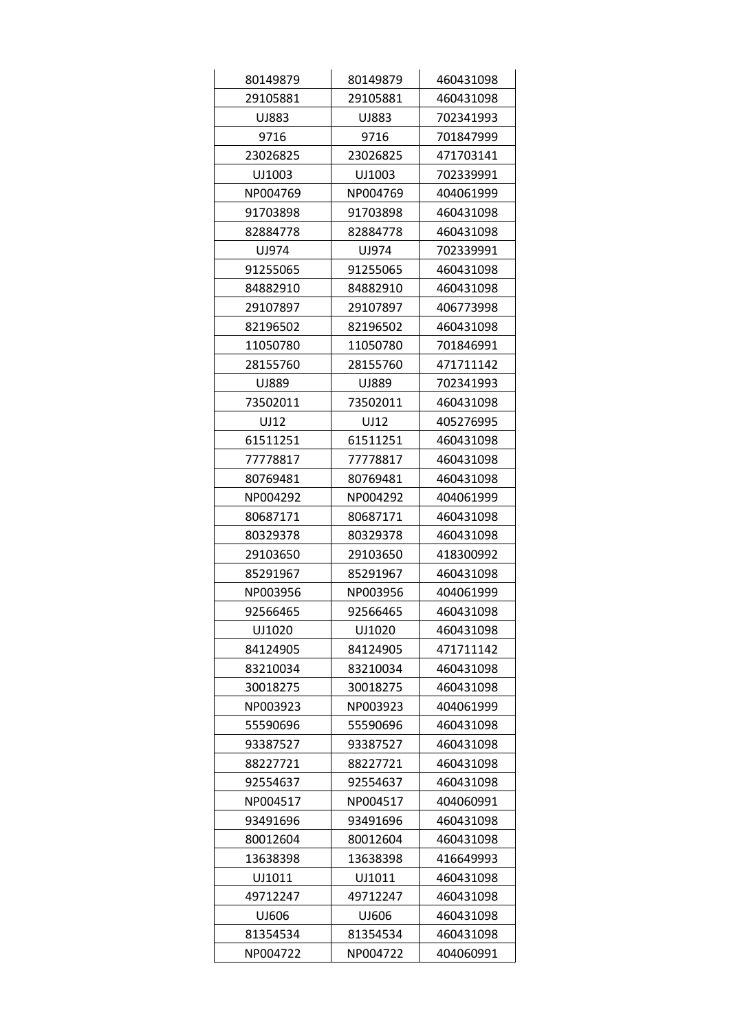| 80149879 | 80149879 | 460431098 |
|----------|----------|-----------|
| 29105881 | 29105881 | 460431098 |
| UJ883    | UJ883    | 702341993 |
| 9716     | 9716     | 701847999 |
| 23026825 | 23026825 | 471703141 |
| UJ1003   | UJ1003   | 702339991 |
| NP004769 | NP004769 | 404061999 |
| 91703898 | 91703898 | 460431098 |
| 82884778 | 82884778 | 460431098 |
| UJ974    | UJ974    | 702339991 |
| 91255065 | 91255065 | 460431098 |
| 84882910 | 84882910 | 460431098 |
| 29107897 | 29107897 | 406773998 |
| 82196502 | 82196502 | 460431098 |
| 11050780 | 11050780 | 701846991 |
| 28155760 | 28155760 | 471711142 |
| UJ889    | UJ889    | 702341993 |
| 73502011 | 73502011 | 460431098 |
| UJ12     | UJ12     | 405276995 |
| 61511251 | 61511251 | 460431098 |
| 77778817 | 77778817 | 460431098 |
| 80769481 | 80769481 | 460431098 |
| NP004292 | NP004292 | 404061999 |
| 80687171 | 80687171 | 460431098 |
| 80329378 | 80329378 | 460431098 |
| 29103650 | 29103650 | 418300992 |
| 85291967 | 85291967 | 460431098 |
| NP003956 | NP003956 | 404061999 |
| 92566465 | 92566465 | 460431098 |
| UJ1020   | UJ1020   | 460431098 |
| 84124905 | 84124905 | 471711142 |
| 83210034 | 83210034 | 460431098 |
| 30018275 | 30018275 | 460431098 |
| NP003923 | NP003923 | 404061999 |
| 55590696 | 55590696 | 460431098 |
| 93387527 | 93387527 | 460431098 |
| 88227721 | 88227721 | 460431098 |
| 92554637 | 92554637 | 460431098 |
| NP004517 | NP004517 | 404060991 |
| 93491696 | 93491696 | 460431098 |
| 80012604 | 80012604 | 460431098 |
| 13638398 | 13638398 | 416649993 |
| UJ1011   | UJ1011   | 460431098 |
| 49712247 | 49712247 | 460431098 |
| UJ606    | UJ606    | 460431098 |
| 81354534 | 81354534 | 460431098 |
| NP004722 | NP004722 | 404060991 |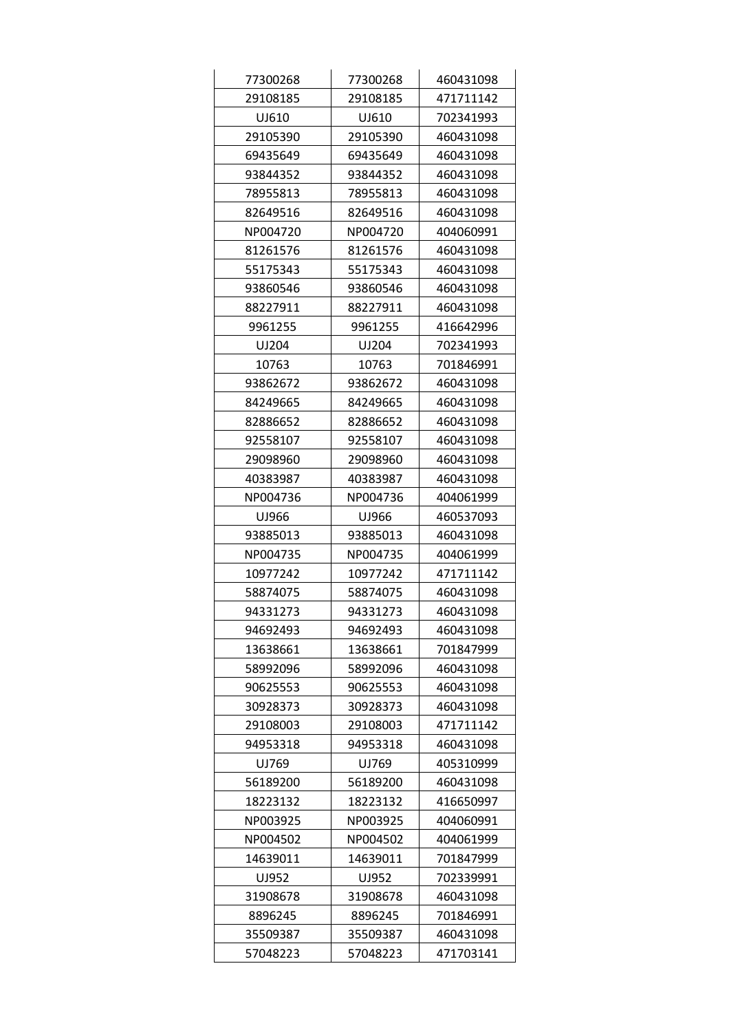| 77300268 | 77300268 | 460431098 |
|----------|----------|-----------|
| 29108185 | 29108185 | 471711142 |
| UJ610    | UJ610    | 702341993 |
| 29105390 | 29105390 | 460431098 |
| 69435649 | 69435649 | 460431098 |
| 93844352 | 93844352 | 460431098 |
| 78955813 | 78955813 | 460431098 |
| 82649516 | 82649516 | 460431098 |
| NP004720 | NP004720 | 404060991 |
| 81261576 | 81261576 | 460431098 |
| 55175343 | 55175343 | 460431098 |
| 93860546 | 93860546 | 460431098 |
| 88227911 | 88227911 | 460431098 |
| 9961255  | 9961255  | 416642996 |
| UJ204    | UJ204    | 702341993 |
| 10763    | 10763    | 701846991 |
| 93862672 | 93862672 | 460431098 |
| 84249665 | 84249665 | 460431098 |
| 82886652 | 82886652 | 460431098 |
| 92558107 | 92558107 | 460431098 |
| 29098960 | 29098960 | 460431098 |
| 40383987 | 40383987 | 460431098 |
| NP004736 | NP004736 | 404061999 |
| UJ966    | UJ966    | 460537093 |
| 93885013 | 93885013 | 460431098 |
| NP004735 | NP004735 | 404061999 |
| 10977242 | 10977242 | 471711142 |
| 58874075 | 58874075 | 460431098 |
| 94331273 | 94331273 | 460431098 |
| 94692493 | 94692493 | 460431098 |
| 13638661 | 13638661 | 701847999 |
| 58992096 | 58992096 | 460431098 |
| 90625553 | 90625553 | 460431098 |
| 30928373 | 30928373 | 460431098 |
| 29108003 | 29108003 | 471711142 |
| 94953318 | 94953318 | 460431098 |
| UJ769    | UJ769    | 405310999 |
| 56189200 | 56189200 | 460431098 |
| 18223132 | 18223132 | 416650997 |
| NP003925 | NP003925 | 404060991 |
| NP004502 | NP004502 | 404061999 |
| 14639011 | 14639011 | 701847999 |
| UJ952    | UJ952    | 702339991 |
| 31908678 | 31908678 | 460431098 |
| 8896245  | 8896245  | 701846991 |
| 35509387 | 35509387 | 460431098 |
| 57048223 | 57048223 | 471703141 |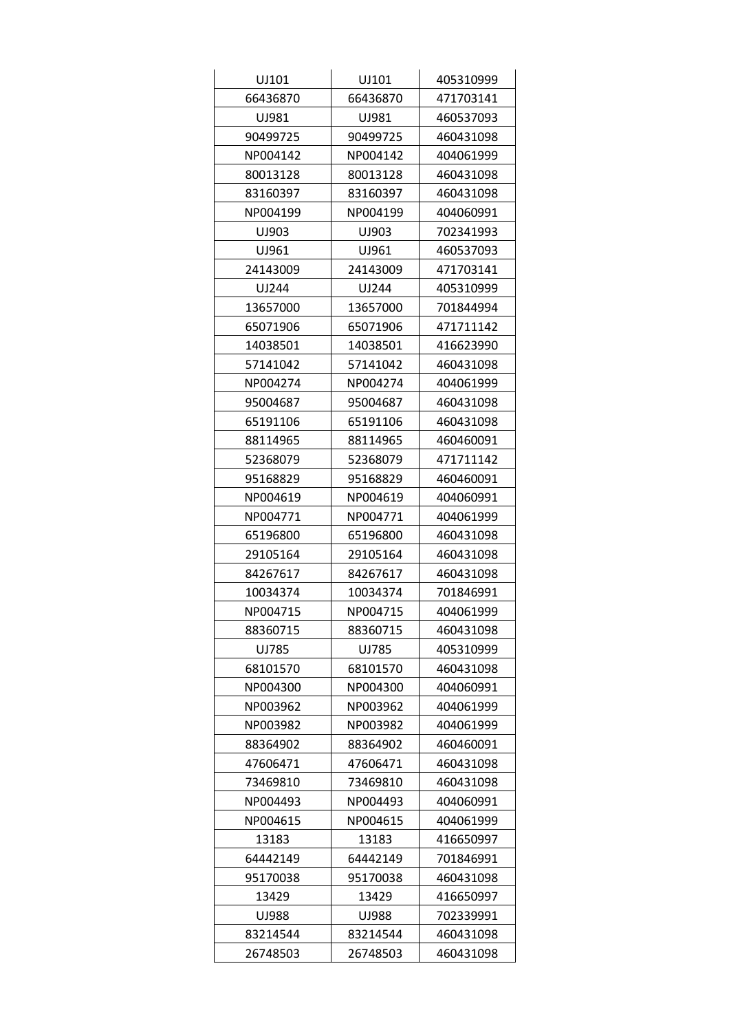| UJ101    | UJ101    | 405310999 |
|----------|----------|-----------|
| 66436870 | 66436870 | 471703141 |
| UJ981    | UJ981    | 460537093 |
| 90499725 | 90499725 | 460431098 |
| NP004142 | NP004142 | 404061999 |
| 80013128 | 80013128 | 460431098 |
| 83160397 | 83160397 | 460431098 |
| NP004199 | NP004199 | 404060991 |
| UJ903    | UJ903    | 702341993 |
| UJ961    | UJ961    | 460537093 |
| 24143009 | 24143009 | 471703141 |
| UJ244    | UJ244    | 405310999 |
| 13657000 | 13657000 | 701844994 |
| 65071906 | 65071906 | 471711142 |
| 14038501 | 14038501 | 416623990 |
| 57141042 | 57141042 | 460431098 |
| NP004274 | NP004274 | 404061999 |
| 95004687 | 95004687 | 460431098 |
| 65191106 | 65191106 | 460431098 |
| 88114965 | 88114965 | 460460091 |
| 52368079 | 52368079 | 471711142 |
| 95168829 | 95168829 | 460460091 |
| NP004619 | NP004619 | 404060991 |
| NP004771 | NP004771 | 404061999 |
| 65196800 | 65196800 | 460431098 |
| 29105164 | 29105164 | 460431098 |
| 84267617 | 84267617 | 460431098 |
| 10034374 | 10034374 | 701846991 |
| NP004715 | NP004715 | 404061999 |
| 88360715 | 88360715 | 460431098 |
| UJ785    | UJ785    | 405310999 |
| 68101570 | 68101570 | 460431098 |
| NP004300 | NP004300 | 404060991 |
| NP003962 | NP003962 | 404061999 |
| NP003982 | NP003982 | 404061999 |
| 88364902 | 88364902 | 460460091 |
| 47606471 | 47606471 | 460431098 |
| 73469810 | 73469810 | 460431098 |
| NP004493 | NP004493 | 404060991 |
| NP004615 | NP004615 | 404061999 |
| 13183    | 13183    | 416650997 |
| 64442149 | 64442149 | 701846991 |
| 95170038 | 95170038 | 460431098 |
| 13429    | 13429    | 416650997 |
| UJ988    | UJ988    | 702339991 |
| 83214544 | 83214544 | 460431098 |
| 26748503 | 26748503 | 460431098 |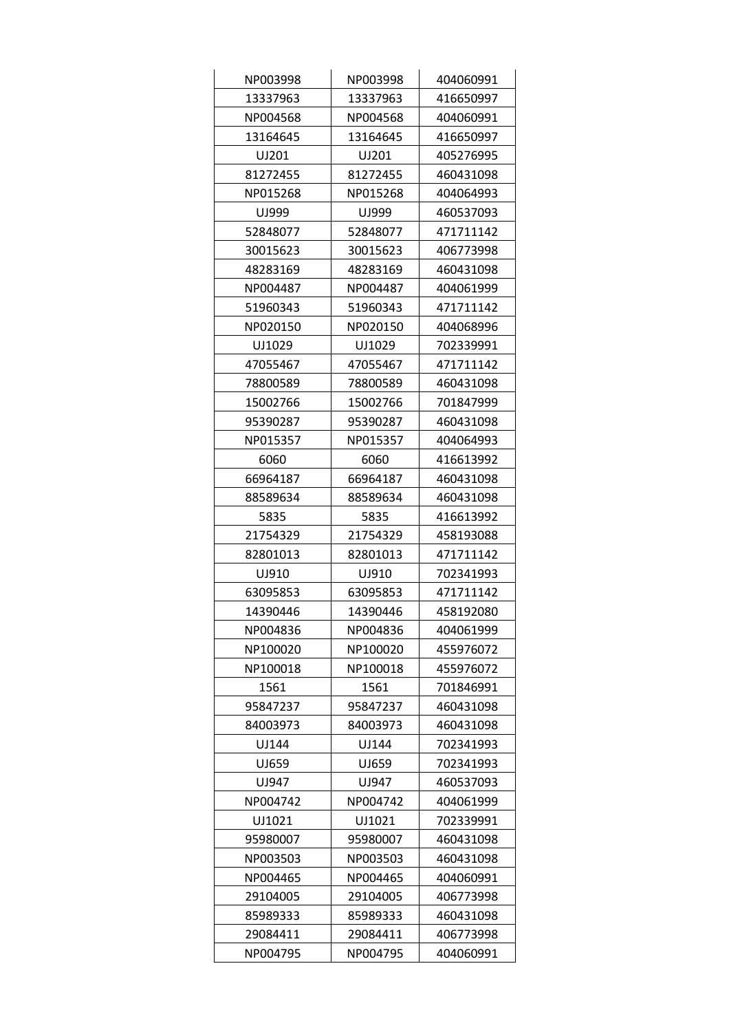| NP003998 | NP003998 | 404060991 |
|----------|----------|-----------|
| 13337963 | 13337963 | 416650997 |
| NP004568 | NP004568 | 404060991 |
| 13164645 | 13164645 | 416650997 |
| UJ201    | UJ201    | 405276995 |
| 81272455 | 81272455 | 460431098 |
| NP015268 | NP015268 | 404064993 |
| UJ999    | UJ999    | 460537093 |
| 52848077 | 52848077 | 471711142 |
| 30015623 | 30015623 | 406773998 |
| 48283169 | 48283169 | 460431098 |
| NP004487 | NP004487 | 404061999 |
| 51960343 | 51960343 | 471711142 |
| NP020150 | NP020150 | 404068996 |
| UJ1029   | UJ1029   | 702339991 |
| 47055467 | 47055467 | 471711142 |
| 78800589 | 78800589 | 460431098 |
| 15002766 | 15002766 | 701847999 |
| 95390287 | 95390287 | 460431098 |
| NP015357 | NP015357 | 404064993 |
| 6060     | 6060     | 416613992 |
| 66964187 | 66964187 | 460431098 |
| 88589634 | 88589634 | 460431098 |
| 5835     | 5835     | 416613992 |
| 21754329 | 21754329 | 458193088 |
| 82801013 | 82801013 | 471711142 |
| UJ910    | UJ910    | 702341993 |
| 63095853 | 63095853 | 471711142 |
| 14390446 | 14390446 | 458192080 |
| NP004836 | NP004836 | 404061999 |
| NP100020 | NP100020 | 455976072 |
| NP100018 | NP100018 | 455976072 |
| 1561     | 1561     | 701846991 |
| 95847237 | 95847237 | 460431098 |
| 84003973 | 84003973 | 460431098 |
| UJ144    | UJ144    | 702341993 |
| UJ659    | UJ659    | 702341993 |
| UJ947    | UJ947    | 460537093 |
| NP004742 | NP004742 | 404061999 |
| UJ1021   | UJ1021   | 702339991 |
| 95980007 | 95980007 | 460431098 |
| NP003503 | NP003503 | 460431098 |
| NP004465 | NP004465 | 404060991 |
| 29104005 | 29104005 | 406773998 |
| 85989333 | 85989333 | 460431098 |
| 29084411 | 29084411 | 406773998 |
| NP004795 | NP004795 | 404060991 |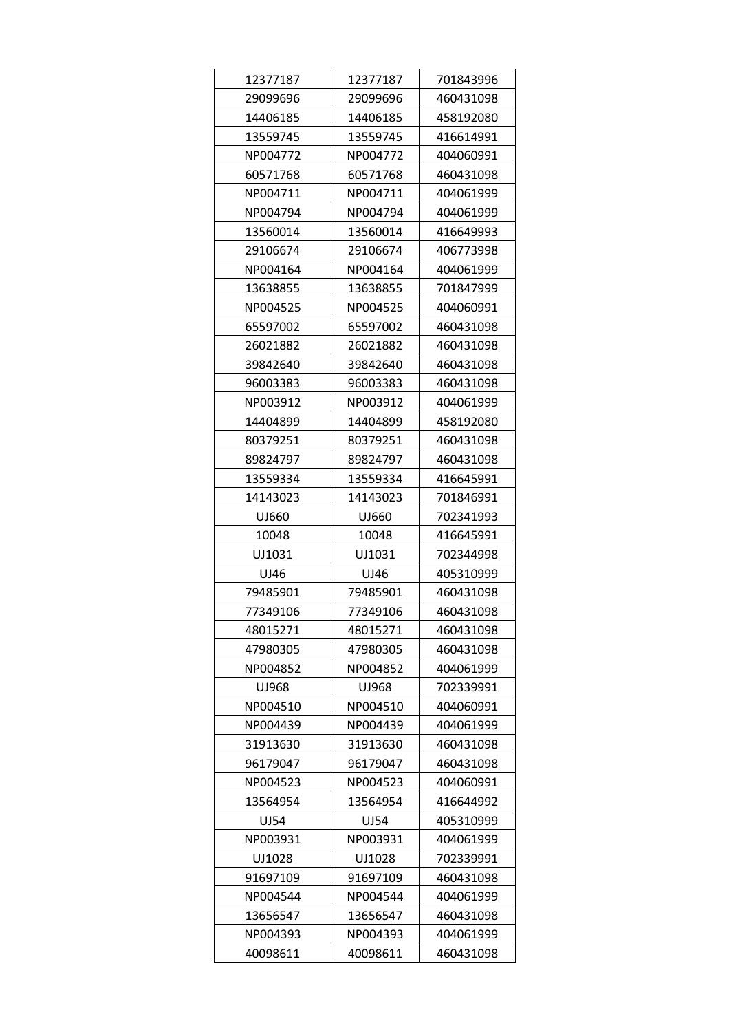| 12377187 | 12377187 | 701843996 |
|----------|----------|-----------|
| 29099696 | 29099696 | 460431098 |
| 14406185 | 14406185 | 458192080 |
| 13559745 | 13559745 | 416614991 |
| NP004772 | NP004772 | 404060991 |
| 60571768 | 60571768 | 460431098 |
| NP004711 | NP004711 | 404061999 |
| NP004794 | NP004794 | 404061999 |
| 13560014 | 13560014 | 416649993 |
| 29106674 | 29106674 | 406773998 |
| NP004164 | NP004164 | 404061999 |
| 13638855 | 13638855 | 701847999 |
| NP004525 | NP004525 | 404060991 |
| 65597002 | 65597002 | 460431098 |
| 26021882 | 26021882 | 460431098 |
| 39842640 | 39842640 | 460431098 |
| 96003383 | 96003383 | 460431098 |
| NP003912 | NP003912 | 404061999 |
| 14404899 | 14404899 | 458192080 |
| 80379251 | 80379251 | 460431098 |
| 89824797 | 89824797 | 460431098 |
| 13559334 | 13559334 | 416645991 |
| 14143023 | 14143023 | 701846991 |
| UJ660    | UJ660    | 702341993 |
| 10048    | 10048    | 416645991 |
| UJ1031   | UJ1031   | 702344998 |
| UJ46     | UJ46     | 405310999 |
| 79485901 | 79485901 | 460431098 |
| 77349106 | 77349106 | 460431098 |
| 48015271 | 48015271 | 460431098 |
| 47980305 | 47980305 | 460431098 |
| NP004852 | NP004852 | 404061999 |
| UJ968    | UJ968    | 702339991 |
| NP004510 | NP004510 | 404060991 |
| NP004439 | NP004439 | 404061999 |
| 31913630 | 31913630 | 460431098 |
| 96179047 | 96179047 | 460431098 |
| NP004523 | NP004523 | 404060991 |
| 13564954 | 13564954 | 416644992 |
| UJ54     | UJ54     | 405310999 |
| NP003931 | NP003931 | 404061999 |
| UJ1028   | UJ1028   | 702339991 |
| 91697109 | 91697109 | 460431098 |
| NP004544 | NP004544 | 404061999 |
| 13656547 | 13656547 | 460431098 |
| NP004393 | NP004393 | 404061999 |
| 40098611 | 40098611 | 460431098 |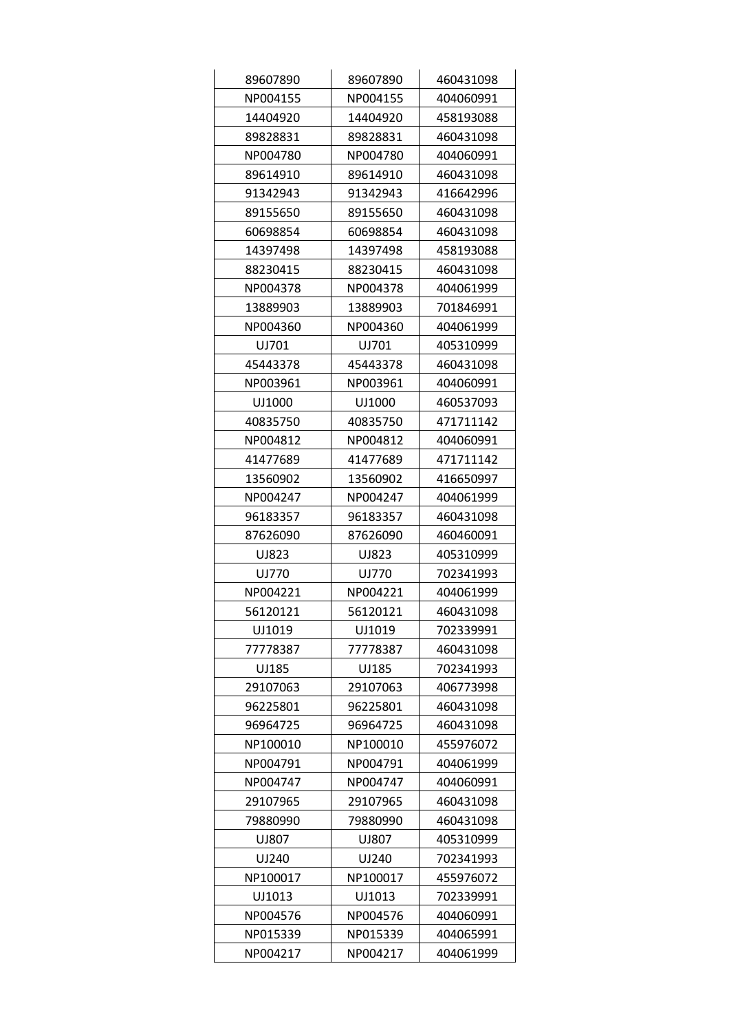| 89607890 | 89607890 | 460431098 |
|----------|----------|-----------|
| NP004155 | NP004155 | 404060991 |
| 14404920 | 14404920 | 458193088 |
| 89828831 | 89828831 | 460431098 |
| NP004780 | NP004780 | 404060991 |
| 89614910 | 89614910 | 460431098 |
| 91342943 | 91342943 | 416642996 |
| 89155650 | 89155650 | 460431098 |
| 60698854 | 60698854 | 460431098 |
| 14397498 | 14397498 | 458193088 |
| 88230415 | 88230415 | 460431098 |
| NP004378 | NP004378 | 404061999 |
| 13889903 | 13889903 | 701846991 |
| NP004360 | NP004360 | 404061999 |
| UJ701    | UJ701    | 405310999 |
| 45443378 | 45443378 | 460431098 |
| NP003961 | NP003961 | 404060991 |
| UJ1000   | UJ1000   | 460537093 |
| 40835750 | 40835750 | 471711142 |
| NP004812 | NP004812 | 404060991 |
| 41477689 | 41477689 | 471711142 |
| 13560902 | 13560902 | 416650997 |
| NP004247 | NP004247 | 404061999 |
| 96183357 | 96183357 | 460431098 |
| 87626090 | 87626090 | 460460091 |
| UJ823    | UJ823    | 405310999 |
| UJ770    | UJ770    | 702341993 |
| NP004221 | NP004221 | 404061999 |
| 56120121 | 56120121 | 460431098 |
| UJ1019   | UJ1019   | 702339991 |
| 77778387 | 77778387 | 460431098 |
| UJ185    | UJ185    | 702341993 |
| 29107063 | 29107063 | 406773998 |
| 96225801 | 96225801 | 460431098 |
| 96964725 | 96964725 | 460431098 |
| NP100010 | NP100010 | 455976072 |
| NP004791 | NP004791 | 404061999 |
| NP004747 | NP004747 | 404060991 |
| 29107965 | 29107965 | 460431098 |
| 79880990 | 79880990 | 460431098 |
| UJ807    | UJ807    | 405310999 |
| UJ240    | UJ240    | 702341993 |
| NP100017 | NP100017 | 455976072 |
| UJ1013   | UJ1013   | 702339991 |
| NP004576 | NP004576 | 404060991 |
| NP015339 | NP015339 | 404065991 |
| NP004217 | NP004217 | 404061999 |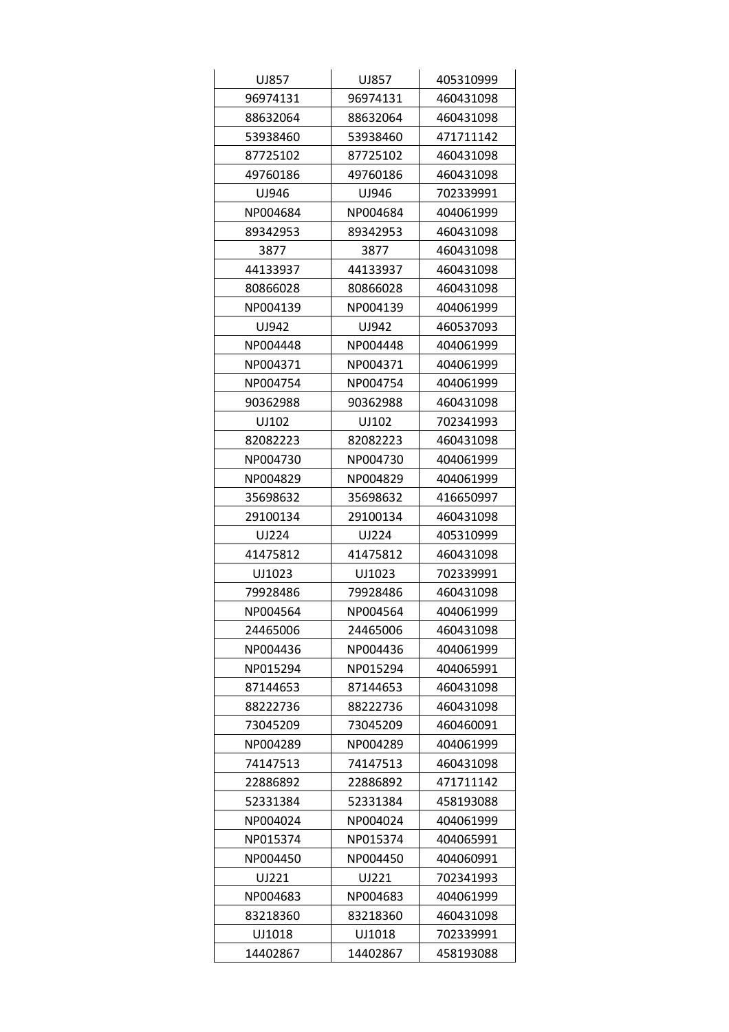| UJ857    | UJ857    | 405310999 |
|----------|----------|-----------|
| 96974131 | 96974131 | 460431098 |
| 88632064 | 88632064 | 460431098 |
| 53938460 | 53938460 | 471711142 |
| 87725102 | 87725102 | 460431098 |
| 49760186 | 49760186 | 460431098 |
| UJ946    | UJ946    | 702339991 |
| NP004684 | NP004684 | 404061999 |
| 89342953 | 89342953 | 460431098 |
| 3877     | 3877     | 460431098 |
| 44133937 | 44133937 | 460431098 |
| 80866028 | 80866028 | 460431098 |
| NP004139 | NP004139 | 404061999 |
| UJ942    | UJ942    | 460537093 |
| NP004448 | NP004448 | 404061999 |
| NP004371 | NP004371 | 404061999 |
| NP004754 | NP004754 | 404061999 |
| 90362988 | 90362988 | 460431098 |
| UJ102    | UJ102    | 702341993 |
| 82082223 | 82082223 | 460431098 |
| NP004730 | NP004730 | 404061999 |
| NP004829 | NP004829 | 404061999 |
| 35698632 | 35698632 | 416650997 |
| 29100134 | 29100134 | 460431098 |
| UJ224    | UJ224    | 405310999 |
| 41475812 | 41475812 | 460431098 |
| UJ1023   | UJ1023   | 702339991 |
| 79928486 | 79928486 | 460431098 |
| NP004564 | NP004564 | 404061999 |
| 24465006 | 24465006 | 460431098 |
| NP004436 | NP004436 | 404061999 |
| NP015294 | NP015294 | 404065991 |
| 87144653 | 87144653 | 460431098 |
| 88222736 | 88222736 | 460431098 |
| 73045209 | 73045209 | 460460091 |
| NP004289 | NP004289 | 404061999 |
| 74147513 | 74147513 | 460431098 |
| 22886892 | 22886892 | 471711142 |
| 52331384 | 52331384 | 458193088 |
| NP004024 | NP004024 | 404061999 |
| NP015374 | NP015374 | 404065991 |
| NP004450 | NP004450 | 404060991 |
| UJ221    | UJ221    | 702341993 |
| NP004683 | NP004683 | 404061999 |
| 83218360 | 83218360 | 460431098 |
| UJ1018   | UJ1018   | 702339991 |
| 14402867 | 14402867 | 458193088 |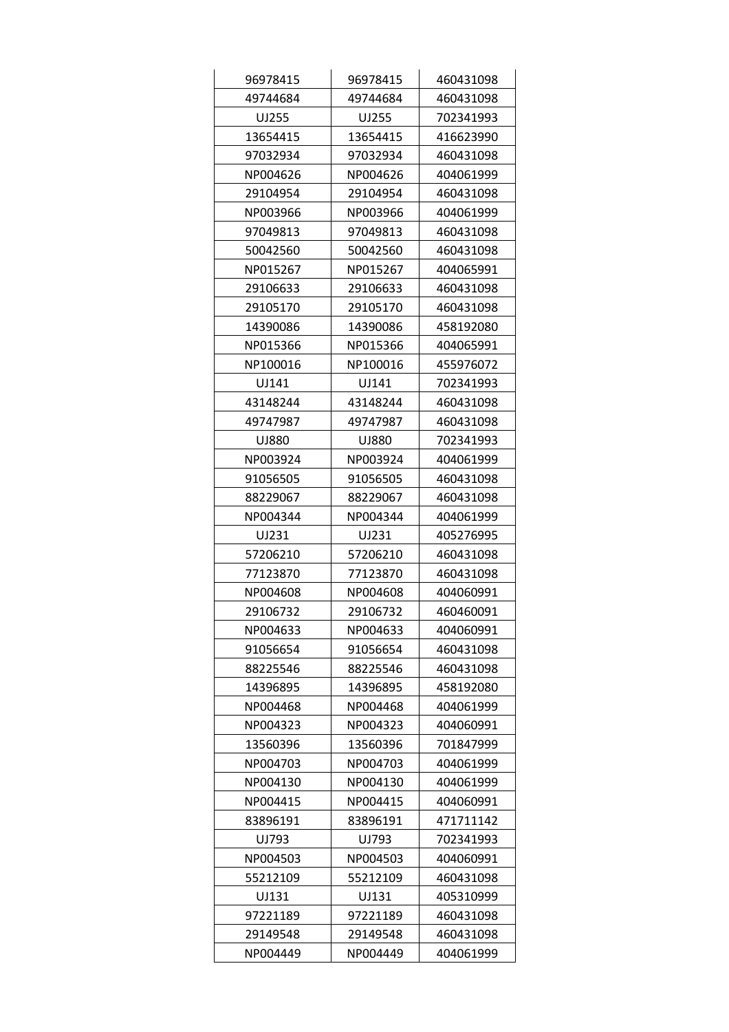| 96978415 | 96978415 | 460431098 |
|----------|----------|-----------|
| 49744684 | 49744684 | 460431098 |
| UJ255    | UJ255    | 702341993 |
| 13654415 | 13654415 | 416623990 |
| 97032934 | 97032934 | 460431098 |
| NP004626 | NP004626 | 404061999 |
| 29104954 | 29104954 | 460431098 |
| NP003966 | NP003966 | 404061999 |
| 97049813 | 97049813 | 460431098 |
| 50042560 | 50042560 | 460431098 |
| NP015267 | NP015267 | 404065991 |
| 29106633 | 29106633 | 460431098 |
| 29105170 | 29105170 | 460431098 |
| 14390086 | 14390086 | 458192080 |
| NP015366 | NP015366 | 404065991 |
| NP100016 | NP100016 | 455976072 |
| UJ141    | UJ141    | 702341993 |
| 43148244 | 43148244 | 460431098 |
| 49747987 | 49747987 | 460431098 |
| UJ880    | UJ880    | 702341993 |
| NP003924 | NP003924 | 404061999 |
| 91056505 | 91056505 | 460431098 |
| 88229067 | 88229067 | 460431098 |
| NP004344 | NP004344 | 404061999 |
| UJ231    | UJ231    | 405276995 |
| 57206210 | 57206210 | 460431098 |
| 77123870 | 77123870 | 460431098 |
| NP004608 | NP004608 | 404060991 |
| 29106732 | 29106732 | 460460091 |
| NP004633 | NP004633 | 404060991 |
| 91056654 | 91056654 | 460431098 |
| 88225546 | 88225546 | 460431098 |
| 14396895 | 14396895 | 458192080 |
| NP004468 | NP004468 | 404061999 |
| NP004323 | NP004323 | 404060991 |
| 13560396 | 13560396 | 701847999 |
| NP004703 | NP004703 | 404061999 |
| NP004130 | NP004130 | 404061999 |
| NP004415 | NP004415 | 404060991 |
| 83896191 | 83896191 | 471711142 |
| UJ793    | UJ793    | 702341993 |
| NP004503 | NP004503 | 404060991 |
| 55212109 | 55212109 | 460431098 |
| UJ131    | UJ131    | 405310999 |
| 97221189 | 97221189 | 460431098 |
| 29149548 | 29149548 | 460431098 |
| NP004449 | NP004449 | 404061999 |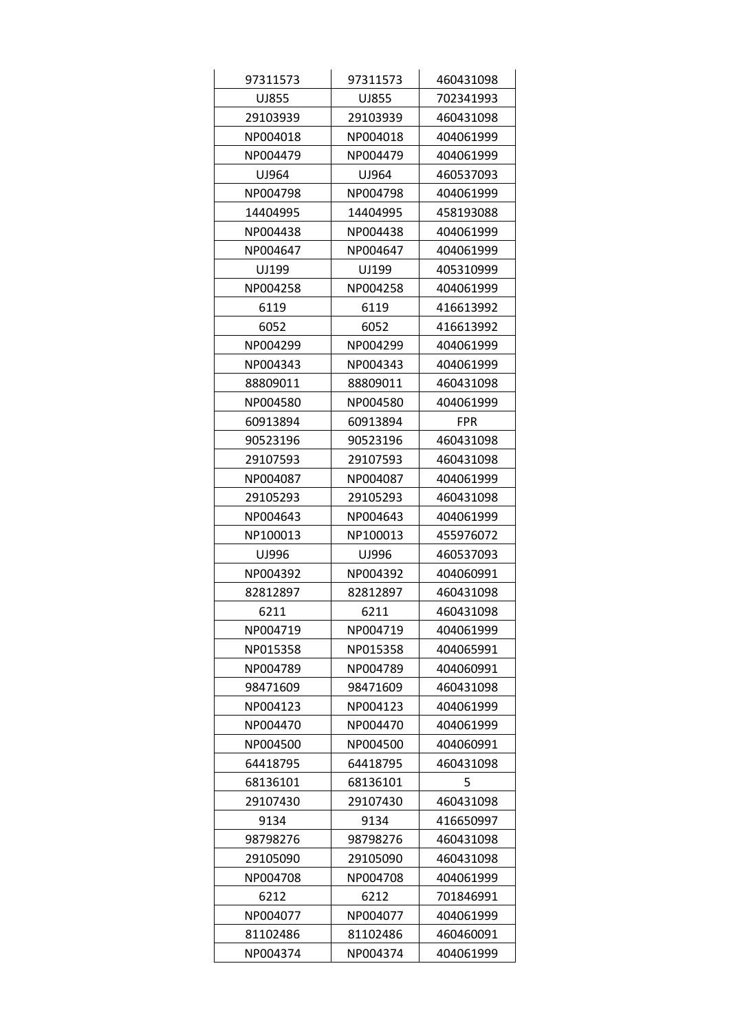| 97311573 | 97311573 | 460431098  |
|----------|----------|------------|
| UJ855    | UJ855    | 702341993  |
| 29103939 | 29103939 | 460431098  |
| NP004018 | NP004018 | 404061999  |
| NP004479 | NP004479 | 404061999  |
| UJ964    | UJ964    | 460537093  |
| NP004798 | NP004798 | 404061999  |
| 14404995 | 14404995 | 458193088  |
| NP004438 | NP004438 | 404061999  |
| NP004647 | NP004647 | 404061999  |
| UJ199    | UJ199    | 405310999  |
| NP004258 | NP004258 | 404061999  |
| 6119     | 6119     | 416613992  |
| 6052     | 6052     | 416613992  |
| NP004299 | NP004299 | 404061999  |
| NP004343 | NP004343 | 404061999  |
| 88809011 | 88809011 | 460431098  |
| NP004580 | NP004580 | 404061999  |
| 60913894 | 60913894 | <b>FPR</b> |
| 90523196 | 90523196 | 460431098  |
| 29107593 | 29107593 | 460431098  |
| NP004087 | NP004087 | 404061999  |
| 29105293 | 29105293 | 460431098  |
| NP004643 | NP004643 | 404061999  |
| NP100013 | NP100013 | 455976072  |
| UJ996    | UJ996    | 460537093  |
| NP004392 | NP004392 | 404060991  |
| 82812897 | 82812897 | 460431098  |
| 6211     | 6211     | 460431098  |
| NP004719 | NP004719 | 404061999  |
| NP015358 | NP015358 | 404065991  |
| NP004789 | NP004789 | 404060991  |
| 98471609 | 98471609 | 460431098  |
| NP004123 | NP004123 | 404061999  |
| NP004470 | NP004470 | 404061999  |
| NP004500 | NP004500 | 404060991  |
| 64418795 | 64418795 | 460431098  |
| 68136101 | 68136101 | 5          |
| 29107430 | 29107430 | 460431098  |
| 9134     | 9134     | 416650997  |
| 98798276 | 98798276 | 460431098  |
| 29105090 | 29105090 | 460431098  |
| NP004708 | NP004708 | 404061999  |
| 6212     | 6212     | 701846991  |
| NP004077 | NP004077 | 404061999  |
| 81102486 | 81102486 | 460460091  |
| NP004374 | NP004374 | 404061999  |